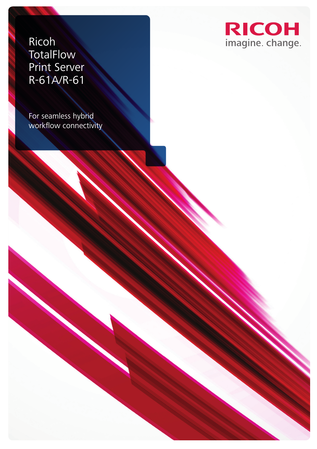Ricoh **TotalFlow** Print Server R-61A/R-61

For seamless hybrid workflow connectivity

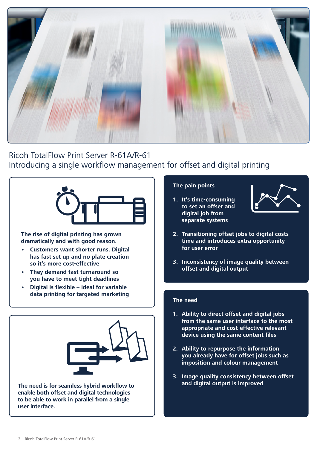

Ricoh TotalFlow Print Server R-61A/R-61 Introducing a single workflow management for offset and digital printing



**The rise of digital printing has grown dramatically and with good reason.** 

- **• Customers want shorter runs. Digital has fast set up and no plate creation so it's more cost-effective**
- **• They demand fast turnaround so you have to meet tight deadlines**
- **• Digital is flexible ideal for variable data printing for targeted marketing**



**The need is for seamless hybrid workflow to enable both offset and digital technologies to be able to work in parallel from a single user interface.**

### **The pain points**

**1. It's time-consuming to set an offset and digital job from separate systems**



- **2. Transitioning offset jobs to digital costs time and introduces extra opportunity for user error**
- **3. Inconsistency of image quality between offset and digital output**

### **The need**

- **1. Ability to direct offset and digital jobs from the same user interface to the most appropriate and cost-effective relevant device using the same content files**
- **2. Ability to repurpose the information you already have for offset jobs such as imposition and colour management**
- **3. Image quality consistency between offset and digital output is improved**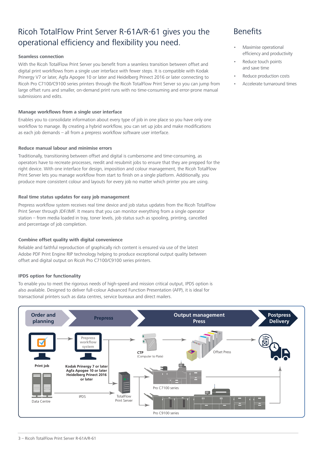# Ricoh TotalFlow Print Server R-61A/R-61 gives you the operational efficiency and flexibility you need.

#### **Seamless connection**

With the Ricoh TotalFlow Print Server you benefit from a seamless transition between offset and digital print workflows from a single user interface with fewer steps. It is compatible with Kodak Prinergy V7 or later, Agfa Apogee 10 or later and Heidelberg Prinect 2016 or later connecting to Ricoh Pro C7100/C9100 series printers through the Ricoh TotalFlow Print Server so you can jump from large offset runs and smaller, on-demand print runs with no time-consuming and error-prone manual submissions and edits.

#### **Manage workflows from a single user interface**

Enables you to consolidate information about every type of job in one place so you have only one workflow to manage. By creating a hybrid workflow, you can set up jobs and make modifications as each job demands – all from a prepress workflow software user interface.

#### **Reduce manual labour and minimise errors**

Traditionally, transitioning between offset and digital is cumbersome and time-consuming, as operators have to recreate processes, reedit and resubmit jobs to ensure that they are prepped for the right device. With one interface for design, imposition and colour management, the Ricoh TotalFlow Print Server lets you manage workflow from start to finish on a single platform. Additionally, you produce more consistent colour and layouts for every job no matter which printer you are using.

#### **Real time status updates for easy job management**

Prepress workflow system receives real time device and job status updates from the Ricoh TotalFlow Print Server through JDF/JMF. It means that you can monitor everything from a single operator station – from media loaded in tray, toner levels, job status such as spooling, printing, cancelled and percentage of job completion.

#### **Combine offset quality with digital convenience**

Reliable and faithful reproduction of graphically rich content is ensured via use of the latest Adobe PDF Print Engine RIP technology helping to produce exceptional output quality between offset and digital output on Ricoh Pro C7100/C9100 series printers.

#### **IPDS option for functionality**

To enable you to meet the rigorous needs of high-speed and mission critical output, IPDS option is also available. Designed to deliver full-colour Advanced Function Presentation (AFP), it is ideal for transactional printers such as data centres, service bureaux and direct mailers.



### **Benefits**

- Maximise operational efficiency and productivity
- Reduce touch points and save time
- Reduce production costs
- Accelerate turnaround times